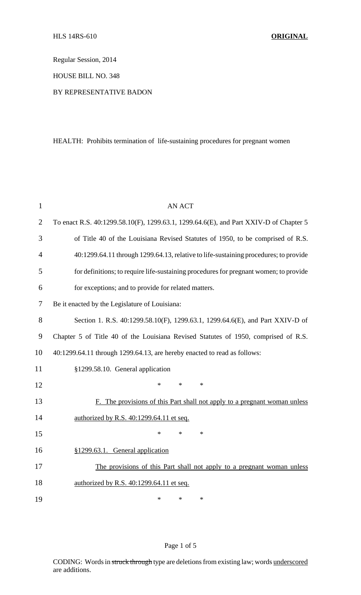Regular Session, 2014

HOUSE BILL NO. 348

## BY REPRESENTATIVE BADON

# HEALTH: Prohibits termination of life-sustaining procedures for pregnant women

| 1              | <b>AN ACT</b>                                                                         |
|----------------|---------------------------------------------------------------------------------------|
| $\overline{2}$ | To enact R.S. 40:1299.58.10(F), 1299.63.1, 1299.64.6(E), and Part XXIV-D of Chapter 5 |
| 3              | of Title 40 of the Louisiana Revised Statutes of 1950, to be comprised of R.S.        |
| $\overline{4}$ | 40:1299.64.11 through 1299.64.13, relative to life-sustaining procedures; to provide  |
| 5              | for definitions; to require life-sustaining procedures for pregnant women; to provide |
| 6              | for exceptions; and to provide for related matters.                                   |
| 7              | Be it enacted by the Legislature of Louisiana:                                        |
| 8              | Section 1. R.S. 40:1299.58.10(F), 1299.63.1, 1299.64.6(E), and Part XXIV-D of         |
| 9              | Chapter 5 of Title 40 of the Louisiana Revised Statutes of 1950, comprised of R.S.    |
| 10             | 40:1299.64.11 through 1299.64.13, are hereby enacted to read as follows:              |
| 11             | §1299.58.10. General application                                                      |
| 12             | *<br>$\ast$<br>$\ast$                                                                 |
| 13             | F. The provisions of this Part shall not apply to a pregnant woman unless             |
| 14             | authorized by R.S. 40:1299.64.11 et seq.                                              |
| 15             | *<br>$\ast$<br>*                                                                      |
| 16             | §1299.63.1. General application                                                       |
| 17             | The provisions of this Part shall not apply to a pregnant woman unless                |
| 18             | authorized by R.S. 40:1299.64.11 et seq.                                              |
| 19             | *<br>$\ast$<br>$\ast$                                                                 |

# Page 1 of 5

CODING: Words in struck through type are deletions from existing law; words underscored are additions.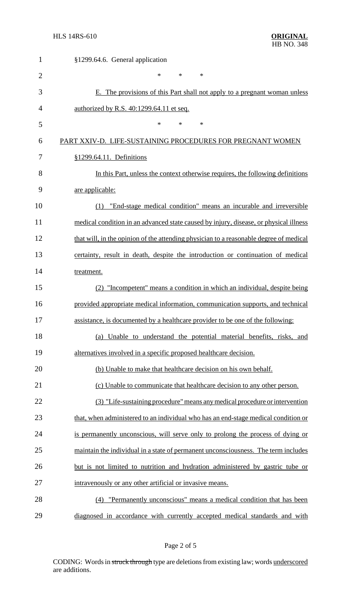| $\mathbf{1}$   | §1299.64.6. General application                                                        |
|----------------|----------------------------------------------------------------------------------------|
| $\overline{2}$ | $\ast$<br>$\ast$<br>$\ast$                                                             |
| 3              | E. The provisions of this Part shall not apply to a pregnant woman unless              |
| 4              | authorized by R.S. 40:1299.64.11 et seq.                                               |
| 5              | $\ast$<br>$\ast$<br>∗                                                                  |
| 6              | PART XXIV-D. LIFE-SUSTAINING PROCEDURES FOR PREGNANT WOMEN                             |
| 7              | §1299.64.11. Definitions                                                               |
| 8              | In this Part, unless the context otherwise requires, the following definitions         |
| 9              | are applicable:                                                                        |
| 10             | "End-stage medical condition" means an incurable and irreversible<br>(1)               |
| 11             | medical condition in an advanced state caused by injury, disease, or physical illness  |
| 12             | that will, in the opinion of the attending physician to a reasonable degree of medical |
| 13             | certainty, result in death, despite the introduction or continuation of medical        |
| 14             | treatment.                                                                             |
| 15             | "Incompetent" means a condition in which an individual, despite being<br>(2)           |
| 16             | provided appropriate medical information, communication supports, and technical        |
| 17             | assistance, is documented by a healthcare provider to be one of the following:         |
| 18             | (a) Unable to understand the potential material benefits, risks, and                   |
| 19             | alternatives involved in a specific proposed healthcare decision.                      |
| 20             | (b) Unable to make that healthcare decision on his own behalf.                         |
| 21             | (c) Unable to communicate that healthcare decision to any other person.                |
| 22             | (3) "Life-sustaining procedure" means any medical procedure or intervention            |
| 23             | that, when administered to an individual who has an end-stage medical condition or     |
| 24             | is permanently unconscious, will serve only to prolong the process of dying or         |
| 25             | maintain the individual in a state of permanent unconsciousness. The term includes     |
| 26             | but is not limited to nutrition and hydration administered by gastric tube or          |
| 27             | intravenously or any other artificial or invasive means.                               |
| 28             | "Permanently unconscious" means a medical condition that has been<br>(4)               |
| 29             | diagnosed in accordance with currently accepted medical standards and with             |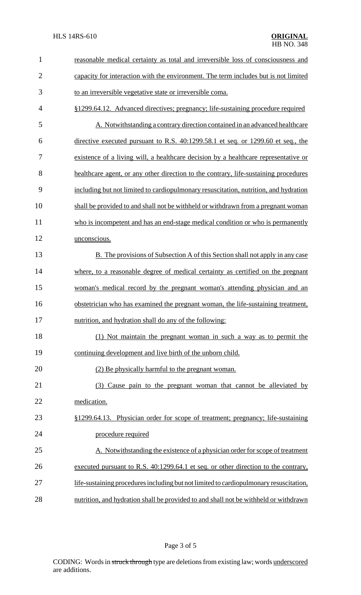| $\mathbf{1}$   | reasonable medical certainty as total and irreversible loss of consciousness and       |
|----------------|----------------------------------------------------------------------------------------|
| $\overline{c}$ | capacity for interaction with the environment. The term includes but is not limited    |
| 3              | to an irreversible vegetative state or irreversible coma.                              |
| 4              | §1299.64.12. Advanced directives; pregnancy; life-sustaining procedure required        |
| 5              | A. Notwithstanding a contrary direction contained in an advanced healthcare            |
| 6              | directive executed pursuant to R.S. 40:1299.58.1 et seq. or 1299.60 et seq., the       |
| 7              | existence of a living will, a healthcare decision by a healthcare representative or    |
| 8              | healthcare agent, or any other direction to the contrary, life-sustaining procedures   |
| 9              | including but not limited to cardiopulmonary resuscitation, nutrition, and hydration   |
| 10             | shall be provided to and shall not be withheld or withdrawn from a pregnant woman      |
| 11             | who is incompetent and has an end-stage medical condition or who is permanently        |
| 12             | unconscious.                                                                           |
| 13             | <b>B.</b> The provisions of Subsection A of this Section shall not apply in any case   |
| 14             | where, to a reasonable degree of medical certainty as certified on the pregnant        |
|                |                                                                                        |
| 15             | woman's medical record by the pregnant woman's attending physician and an              |
| 16             | obstetrician who has examined the pregnant woman, the life-sustaining treatment,       |
| 17             | nutrition, and hydration shall do any of the following:                                |
| 18             | (1) Not maintain the pregnant woman in such a way as to permit the                     |
| 19             | continuing development and live birth of the unborn child.                             |
| 20             | (2) Be physically harmful to the pregnant woman.                                       |
| 21             | (3) Cause pain to the pregnant woman that cannot be alleviated by                      |
| 22             | medication.                                                                            |
| 23             | §1299.64.13. Physician order for scope of treatment; pregnancy; life-sustaining        |
| 24             | procedure required                                                                     |
| 25             | A. Notwithstanding the existence of a physician order for scope of treatment           |
| 26             | executed pursuant to R.S. 40:1299.64.1 et seq. or other direction to the contrary,     |
| 27             | life-sustaining procedures including but not limited to cardiopulmonary resuscitation, |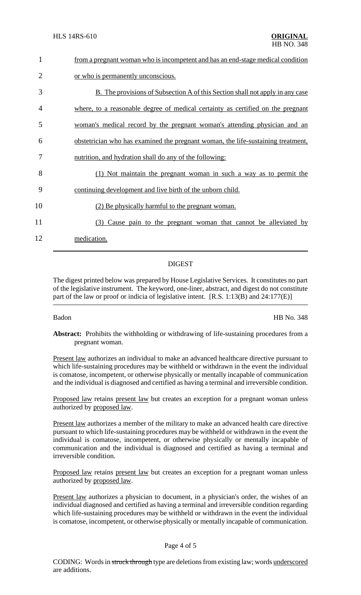| 1              | from a pregnant woman who is incompetent and has an end-stage medical condition      |
|----------------|--------------------------------------------------------------------------------------|
| $\overline{2}$ | or who is permanently unconscious.                                                   |
| 3              | <b>B.</b> The provisions of Subsection A of this Section shall not apply in any case |
| 4              | where, to a reasonable degree of medical certainty as certified on the pregnant      |
| 5              | woman's medical record by the pregnant woman's attending physician and an            |
| 6              | obstetrician who has examined the pregnant woman, the life-sustaining treatment,     |
| 7              | nutrition, and hydration shall do any of the following:                              |
| 8              | (1) Not maintain the pregnant woman in such a way as to permit the                   |
| 9              | continuing development and live birth of the unborn child.                           |
| 10             | (2) Be physically harmful to the pregnant woman.                                     |
| 11             | Cause pain to the pregnant woman that cannot be alleviated by<br>(3)                 |
| 12             | medication.                                                                          |
|                |                                                                                      |

## DIGEST

The digest printed below was prepared by House Legislative Services. It constitutes no part of the legislative instrument. The keyword, one-liner, abstract, and digest do not constitute part of the law or proof or indicia of legislative intent. [R.S. 1:13(B) and 24:177(E)]

Badon HB No. 348

**Abstract:** Prohibits the withholding or withdrawing of life-sustaining procedures from a pregnant woman.

Present law authorizes an individual to make an advanced healthcare directive pursuant to which life-sustaining procedures may be withheld or withdrawn in the event the individual is comatose, incompetent, or otherwise physically or mentally incapable of communication and the individual is diagnosed and certified as having a terminal and irreversible condition.

Proposed law retains present law but creates an exception for a pregnant woman unless authorized by proposed law.

Present law authorizes a member of the military to make an advanced health care directive pursuant to which life-sustaining procedures may be withheld or withdrawn in the event the individual is comatose, incompetent, or otherwise physically or mentally incapable of communication and the individual is diagnosed and certified as having a terminal and irreversible condition.

Proposed law retains present law but creates an exception for a pregnant woman unless authorized by proposed law.

Present law authorizes a physician to document, in a physician's order, the wishes of an individual diagnosed and certified as having a terminal and irreversible condition regarding which life-sustaining procedures may be withheld or withdrawn in the event the individual is comatose, incompetent, or otherwise physically or mentally incapable of communication.

## Page 4 of 5